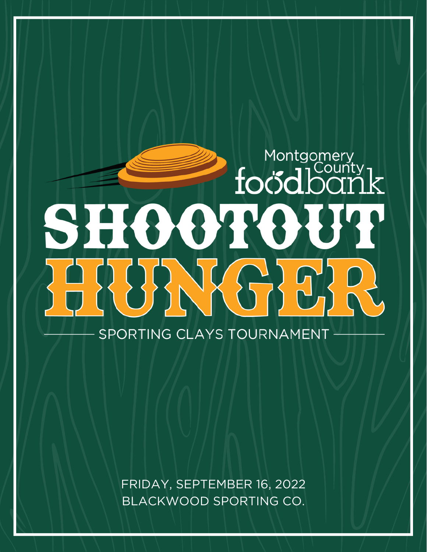# Montgomery<br>focodbarr SH88188 FRUANGER SPORTING CLAYS TOURNAMENT

FRIDAY, SEPTEMBER 16, 2022 BLACKWOOD SPORTING CO.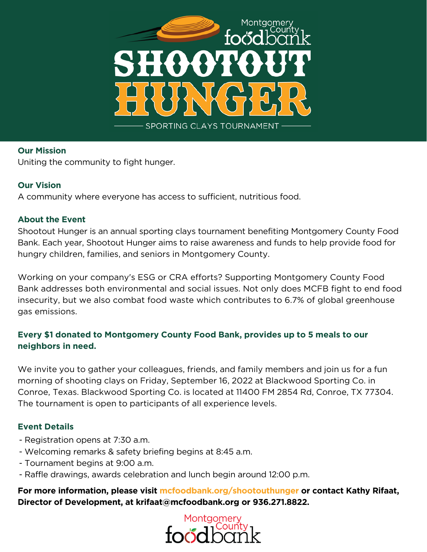

#### **Our Mission**

Uniting the community to fight hunger.

#### **Our Vision**

A community where everyone has access to sufficient, nutritious food.

#### **About the Event**

Shootout Hunger is an annual sporting clays tournament benefiting Montgomery County Food Bank. Each year, Shootout Hunger aims to raise awareness and funds to help provide food for hungry children, families, and seniors in Montgomery County.

Working on your company's ESG or CRA efforts? Supporting Montgomery County Food Bank addresses both environmental and social issues. Not only does MCFB fight to end food insecurity, but we also combat food waste which contributes to 6.7% of global greenhouse gas emissions.

#### **Every \$1 donated to Montgomery County Food Bank, provides up to 5 meals to our neighbors in need.**

We invite you to gather your colleagues, friends, and family members and join us for a fun morning of shooting clays on Friday, September 16, 2022 at Blackwood Sporting Co. in Conroe, Texas. Blackwood Sporting Co. is located at 11400 FM 2854 Rd, Conroe, TX 77304. The tournament is open to participants of all experience levels.

#### **Event Details**

- Registration opens at 7:30 a.m.
- Welcoming remarks & safety briefing begins at 8:45 a.m.
- Tournament begins at 9:00 a.m.
- Raffle drawings, awards celebration and lunch begin around 12:00 p.m.

**For more information, please visit mcfoodbank.org/shootouthunger or contact Kathy Rifaat, Director of Development, at krifaat@mcfoodbank.org or 936.271.8822.**

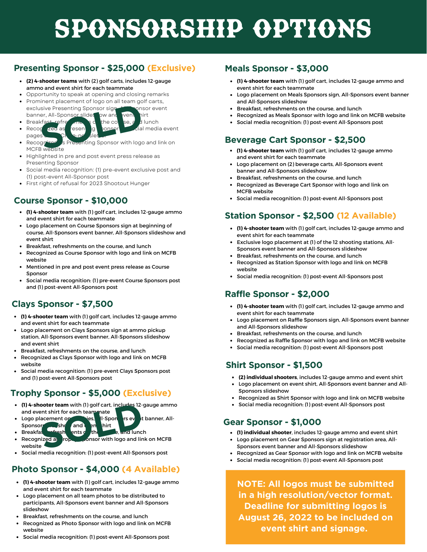# Sponsorship OPTIONS

#### **Presenting Sponsor - \$25,000 (Exclusive)**

- **(2) 4-shooter teams** with (2) golf carts, includes 12-gauge  $\bullet$ ammo and event shirt for each teammate
- Opportunity to speak at opening and closing remarks
- Prominent placement of logo on all team golf carts, exclusive Presenting Sponsor sign, All Consor event banner, All-Sponsor slideshow and event init
- - Breakfast, refreshments of the course, and lunch Recognized as Presenting Sponsor or social media event
- pages<sup>'</sup> Recognized as Presenting Sponsor with logo and link on MCFB website **SOLUTION STATE AND SOLUTION STATE AND SOLUTION SOLUTION SOLUTION SOLUTION SOLUTION SPICE AND SOLUTION SPICE AND SPICE AND SPICE AND SPICE AND SPICE AND SPICE AND SPICE AND SPICE AND SPICE AND SPICE AND SPICE AND SPICE AND**
- Highlighted in pre and post event press release as Presenting Sponsor
- Social media recognition: (1) pre-event exclusive post and (1) post-event All-Sponsor post
- First right of refusal for 2023 Shootout Hunger

#### **Course Sponsor - \$10,000**

- **(1) 4-shooter team** with (1) golf cart, includes 12-gauge ammo and event shirt for each teammate
- Logo placement on Course Sponsors sign at beginning of course, All-Sponsors event banner, All-Sponsors slideshow and event shirt
- Breakfast, refreshments on the course, and lunch
- Recognized as Course Sponsor with logo and link on MCFB website
- Mentioned in pre and post event press release as Course Sponsor
- Social media recognition: (1) pre-event Course Sponsors post and (1) post-event All-Sponsors post

#### **Clays Sponsor - \$7,500**

- **(1) 4-shooter team** with (1) golf cart, includes 12-gauge ammo and event shirt for each teammate
- Logo placement on Clays Sponsors sign at ammo pickup station, All-Sponsors event banner, All-Sponsors slideshow and event shirt
- Breakfast, refreshments on the course, and lunch
- Recognized as Clays Sponsor with logo and link on MCFB website
- Social media recognition: (1) pre-event Clays Sponsors post and (1) post-event All-Sponsors post

#### **Trophy Sponsor - \$5,000 (Exclusive)**

- **(1) 4-shooter team** with (1) golf cart, includes 12-gauge ammo and event shirt for each teammate
- Logo placement on the hies, All-Spon his event banner, All-Sponsors she and en hirt **Solution 1998**<br>
Solution 1999<br>
Solution 1999<br>
Solution 1999<br>
Solution 1999<br>
Solution 1999<br>
Solution 1999<br>
Solution 1999<br>
Solution 1999<br>
Solution 1999<br>
Solution 1999<br>
Solution 1999<br>
Solution 1999<br>
Solution 1999<br>
Solution 1
- Breakfast, refreshments on the course, and lunch
- Recognized as rope Sponsor with logo and link on MCFB website
- Social media recognition: (1) post-event All-Sponsors post

#### **Photo Sponsor - \$4,000 (4 Available)**

- **(1) 4-shooter team** with (1) golf cart, includes 12-gauge ammo and event shirt for each teammate
- Logo placement on all team photos to be distributed to participants, All-Sponsors event banner and All-Sponsors slideshow
- Breakfast, refreshments on the course, and lunch
- Recognized as Photo Sponsor with logo and link on MCFB website
- Social media recognition: (1) post-event All-Sponsors post

#### **Meals Sponsor - \$3,000**

- **(1) 4-shooter team** with (1) golf cart, includes 12-gauge ammo and event shirt for each teammate
- Logo placement on Meals Sponsors sign, All-Sponsors event banner and All-Sponsors slideshow
- Breakfast, refreshments on the course, and lunch
- Recognized as Meals Sponsor with logo and link on MCFB website
- Social media recognition: (1) post-event All-Sponsors post

#### **Beverage Cart Sponsor - \$2,500**

- **(1) 4-shooter team** with (1) golf cart, includes 12-gauge ammo and event shirt for each teammate
- Logo placement on (2) beverage carts, All-Sponsors event banner and All-Sponsors slideshow
- Breakfast, refreshments on the course, and lunch
- Recognized as Beverage Cart Sponsor with logo and link on MCFB website
- Social media recognition: (1) post-event All-Sponsors post

#### **Station Sponsor - \$2,500 (12 Available)**

- **(1) 4-shooter team** with (1) golf cart, includes 12-gauge ammo and event shirt for each teammate
- Exclusive logo placement at (1) of the 12 shooting stations, All-Sponsors event banner and All-Sponsors slideshow
- Breakfast, refreshments on the course, and lunch
- Recognized as Station Sponsor with logo and link on MCFB website
- Social media recognition: (1) post-event All-Sponsors post

#### **Raffle Sponsor - \$2,000**

- **(1) 4-shooter team** with (1) golf cart, includes 12-gauge ammo and event shirt for each teammate
- Logo placement on Raffle Sponsors sign, All-Sponsors event banner and All-Sponsors slideshow
- Breakfast, refreshments on the course, and lunch
- Recognized as Raffle Sponsor with logo and link on MCFB website
- $\bullet$ Social media recognition: (1) post-event All-Sponsors post

#### **Shirt Sponsor - \$1,500**

- **(2) individual shooters**, includes 12-gauge ammo and event shirt
- Logo placement on event shirt, All-Sponsors event banner and All-Sponsors slideshow
- Recognized as Shirt Sponsor with logo and link on MCFB website
- Social media recognition: (1) post-event All-Sponsors post

#### **Gear Sponsor - \$1,000**

- **(1) individual shooter**, includes 12-gauge ammo and event shirt
- Logo placement on Gear Sponsors sign at registration area, All-Sponsors event banner and All-Sponsors slideshow
- Recognized as Gear Sponsor with logo and link on MCFB website
- Social media recognition: (1) post-event All-Sponsors post

**NOTE: All logos must be submitted in a high resolution/vector format. Deadline for submitting logos is August 26, 2022 to be included on event shirt and signage.**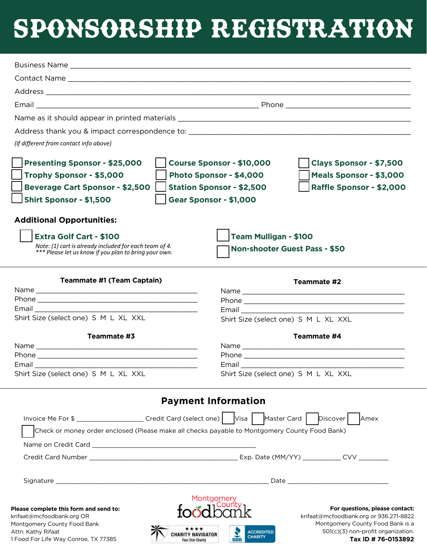## Sponsorship registration

| (If different from contact info above)                                                                                                                                                                                   |                                                                                                                                                                                                                         |
|--------------------------------------------------------------------------------------------------------------------------------------------------------------------------------------------------------------------------|-------------------------------------------------------------------------------------------------------------------------------------------------------------------------------------------------------------------------|
| <b>Presenting Sponsor - \$25,000</b><br>Trophy Sponsor - \$5,000<br><b>Beverage Cart Sponsor - \$2,500</b><br><b>Shirt Sponsor - \$1,500</b>                                                                             | Course Sponsor - \$10,000<br>Clays Sponsor - \$7,500<br>Photo Sponsor - \$4,000<br>Meals Sponsor - \$3,000<br><b>Station Sponsor - \$2,500</b><br>Raffle Sponsor - \$2,000<br>Gear Sponsor - \$1,000                    |
| <b>Additional Opportunities:</b>                                                                                                                                                                                         |                                                                                                                                                                                                                         |
| <b>Extra Golf Cart - \$100</b>                                                                                                                                                                                           | <b>Team Mulligan - \$100</b>                                                                                                                                                                                            |
| Note: (1) cart is already included for each team of 4.<br>*** Please let us know if you plan to bring your own.                                                                                                          | <b>Non-shooter Guest Pass - \$50</b>                                                                                                                                                                                    |
|                                                                                                                                                                                                                          |                                                                                                                                                                                                                         |
| <b>Teammate #1 (Team Captain)</b>                                                                                                                                                                                        | Teammate #2                                                                                                                                                                                                             |
|                                                                                                                                                                                                                          |                                                                                                                                                                                                                         |
| Shirt Size (select one) S M L XL XXL                                                                                                                                                                                     | Email <u>_________</u>                                                                                                                                                                                                  |
|                                                                                                                                                                                                                          | Shirt Size (select one) S M L XL XXL                                                                                                                                                                                    |
| Teammate #3                                                                                                                                                                                                              | Teammate #4                                                                                                                                                                                                             |
|                                                                                                                                                                                                                          |                                                                                                                                                                                                                         |
| Email                                                                                                                                                                                                                    | Email <b>Executive</b>                                                                                                                                                                                                  |
| Shirt Size (select one) S M L XL XXL                                                                                                                                                                                     | Shirt Size (select one) S M L XL XXL                                                                                                                                                                                    |
|                                                                                                                                                                                                                          | <b>Payment Information</b>                                                                                                                                                                                              |
| Invoice Me For \$ _______________________Credit Card (select one)   Visa   Master Card                                                                                                                                   | Discover<br>Amex                                                                                                                                                                                                        |
| Check or money order enclosed (Please make all checks payable to Montgomery County Food Bank)                                                                                                                            |                                                                                                                                                                                                                         |
|                                                                                                                                                                                                                          |                                                                                                                                                                                                                         |
|                                                                                                                                                                                                                          |                                                                                                                                                                                                                         |
|                                                                                                                                                                                                                          |                                                                                                                                                                                                                         |
|                                                                                                                                                                                                                          |                                                                                                                                                                                                                         |
|                                                                                                                                                                                                                          | Montgomery                                                                                                                                                                                                              |
| Please complete this form and send to:<br>krifaat@mcfoodbank.org OR<br>Montgomery County Food Bank<br>Attn: Kathy Rifaat<br><b>CHARITY NAVIGATOR</b><br>1 Food For Life Way Conroe, TX 77385<br><b>Four Star Charity</b> | For questions, please contact:<br>krifaat@mcfoodbank.org or 936.271-8822<br>Montgomery County Food Bank is a<br>501(c)(3) non-profit organization.<br><b>ACCREDITED</b><br><b>CHARITY</b><br>BBB<br>Tax ID # 76-0153892 |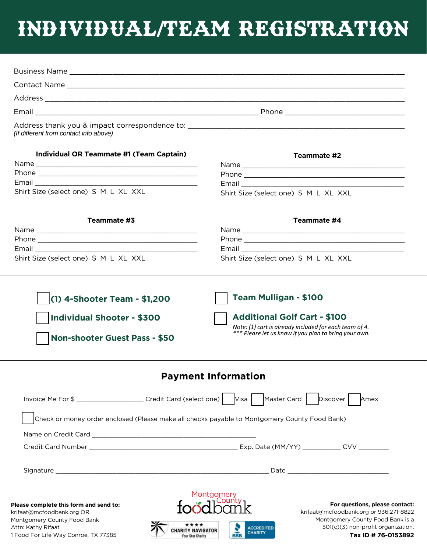### INDIVIDUAL/TEAM REGISTRATION

| Contact Name                                                                                                                                                                                 |                                                                                                                                                                                                                                       |
|----------------------------------------------------------------------------------------------------------------------------------------------------------------------------------------------|---------------------------------------------------------------------------------------------------------------------------------------------------------------------------------------------------------------------------------------|
|                                                                                                                                                                                              |                                                                                                                                                                                                                                       |
|                                                                                                                                                                                              |                                                                                                                                                                                                                                       |
| (If different from contact info above)                                                                                                                                                       |                                                                                                                                                                                                                                       |
| Individual OR Teammate #1 (Team Captain)<br>Shirt Size (select one) S M L XL XXL                                                                                                             | Teammate #2<br>Email 2008 - 2008 - 2008 - 2019 - 2019 - 2019 - 2019 - 2019 - 2019 - 2019 - 2019 - 2019 - 2019 - 2019 - 2019 -<br>Shirt Size (select one) S M L XL XXL                                                                 |
| Teammate #3                                                                                                                                                                                  | Teammate #4                                                                                                                                                                                                                           |
|                                                                                                                                                                                              |                                                                                                                                                                                                                                       |
|                                                                                                                                                                                              |                                                                                                                                                                                                                                       |
|                                                                                                                                                                                              |                                                                                                                                                                                                                                       |
| Shirt Size (select one) S M L XL XXL                                                                                                                                                         | Shirt Size (select one) S M L XL XXL                                                                                                                                                                                                  |
| (1) 4-Shooter Team - \$1,200<br><b>Individual Shooter - \$300</b><br><b>Non-shooter Guest Pass - \$50</b>                                                                                    | <b>Team Mulligan - \$100</b><br><b>Additional Golf Cart - \$100</b><br>Note: (1) cart is already included for each team of 4.<br>*** Please let us know if you plan to bring your own.                                                |
|                                                                                                                                                                                              | <b>Payment Information</b>                                                                                                                                                                                                            |
| Invoice Me For \$ ______________________Credit Card (select one)   Visa   Master Card   Discover                                                                                             | Amex                                                                                                                                                                                                                                  |
| Check or money order enclosed (Please make all checks payable to Montgomery County Food Bank)                                                                                                |                                                                                                                                                                                                                                       |
|                                                                                                                                                                                              |                                                                                                                                                                                                                                       |
|                                                                                                                                                                                              |                                                                                                                                                                                                                                       |
|                                                                                                                                                                                              |                                                                                                                                                                                                                                       |
| Please complete this form and send to:<br>krifaat@mcfoodbank.org OR<br>Montgomery County Food Bank<br>Attn: Kathy Rifaat<br><b>CHARITY NAVIGATOR</b><br>1 Food For Life Way Conroe, TX 77385 | Montgomery<br>For questions, please contact:<br>krifaat@mcfoodbank.org or 936.271-8822<br>Montgomery County Food Bank is a<br>501(c)(3) non-profit organization.<br><b>ACCREDITED</b><br><b>CHARITY</b><br>BBB<br>Tax ID # 76-0153892 |